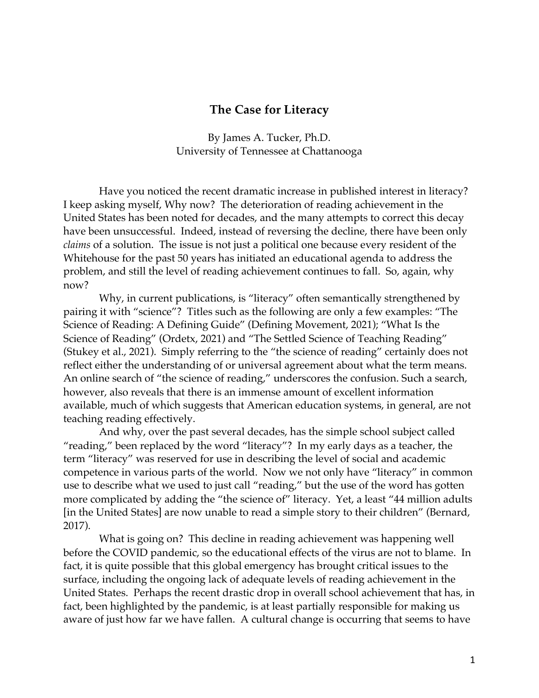## **The Case for Literacy**

By James A. Tucker, Ph.D. University of Tennessee at Chattanooga

Have you noticed the recent dramatic increase in published interest in literacy? I keep asking myself, Why now? The deterioration of reading achievement in the United States has been noted for decades, and the many attempts to correct this decay have been unsuccessful. Indeed, instead of reversing the decline, there have been only *claims* of a solution. The issue is not just a political one because every resident of the Whitehouse for the past 50 years has initiated an educational agenda to address the problem, and still the level of reading achievement continues to fall. So, again, why now?

Why, in current publications, is "literacy" often semantically strengthened by pairing it with "science"? Titles such as the following are only a few examples: "The Science of Reading: A Defining Guide" (Defining Movement, 2021); "What Is the Science of Reading" (Ordetx, 2021) and "The Settled Science of Teaching Reading" (Stukey et al., 2021). Simply referring to the "the science of reading" certainly does not reflect either the understanding of or universal agreement about what the term means. An online search of "the science of reading," underscores the confusion. Such a search, however, also reveals that there is an immense amount of excellent information available, much of which suggests that American education systems, in general, are not teaching reading effectively.

And why, over the past several decades, has the simple school subject called "reading," been replaced by the word "literacy"? In my early days as a teacher, the term "literacy" was reserved for use in describing the level of social and academic competence in various parts of the world. Now we not only have "literacy" in common use to describe what we used to just call "reading," but the use of the word has gotten more complicated by adding the "the science of" literacy. Yet, a least "44 million adults [in the United States] are now unable to read a simple story to their children" (Bernard, 2017).

What is going on? This decline in reading achievement was happening well before the COVID pandemic, so the educational effects of the virus are not to blame. In fact, it is quite possible that this global emergency has brought critical issues to the surface, including the ongoing lack of adequate levels of reading achievement in the United States. Perhaps the recent drastic drop in overall school achievement that has, in fact, been highlighted by the pandemic, is at least partially responsible for making us aware of just how far we have fallen. A cultural change is occurring that seems to have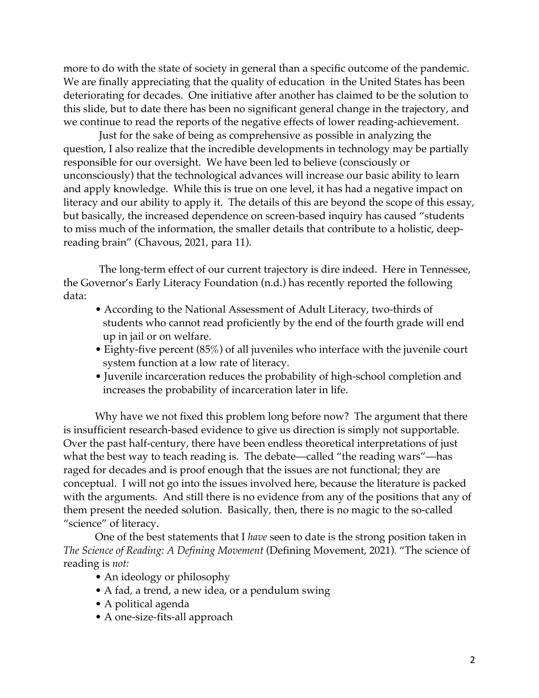more to do with the state of society in general than a specific outcome of the pandemic. We are finally appreciating that the quality of education in the United States has been deteriorating for decades. One initiative after another has claimed to be the solution to this slide, but to date there has been no significant general change in the trajectory, and we continue to read the reports of the negative effects of lower reading-achievement.

Just for the sake of being as comprehensive as possible in analyzing the question, I also realize that the incredible developments in technology may be partially responsible for our oversight. We have been led to believe (consciously or unconsciously) that the technological advances will increase our basic ability to learn and apply knowledge. While this is true on one level, it has had a negative impact on literacy and our ability to apply it. The details of this are beyond the scope of this essay, but basically, the increased dependence on screen-based inquiry has caused "students to miss much of the information, the smaller details that contribute to a holistic, deepreading brain" (Chavous, 2021, para 11).

The long-term effect of our current trajectory is dire indeed. Here in Tennessee, the Governor's Early Literacy Foundation (n.d.) has recently reported the following data:

- According to the National Assessment of Adult Literacy, two-thirds of students who cannot read proficiently by the end of the fourth grade will end up in jail or on welfare.
- Eighty-five percent (85%) of all juveniles who interface with the juvenile court system function at a low rate of literacy.
- Juvenile incarceration reduces the probability of high-school completion and increases the probability of incarceration later in life.

Why have we not fixed this problem long before now? The argument that there is insufficient research-based evidence to give us direction is simply not supportable. Over the past half-century, there have been endless theoretical interpretations of just what the best way to teach reading is. The debate—called "the reading wars"—has raged for decades and is proof enough that the issues are not functional; they are conceptual. I will not go into the issues involved here, because the literature is packed with the arguments. And still there is no evidence from any of the positions that any of them present the needed solution. Basically, then, there is no magic to the so-called "science" of literacy.

One of the best statements that I *have* seen to date is the strong position taken in *The Science of Reading: A Defining Movement* (Defining Movement, 2021)*.* "The science of reading is *not:*

- An ideology or philosophy
- A fad, a trend, a new idea, or a pendulum swing
- A political agenda
- A one-size-fits-all approach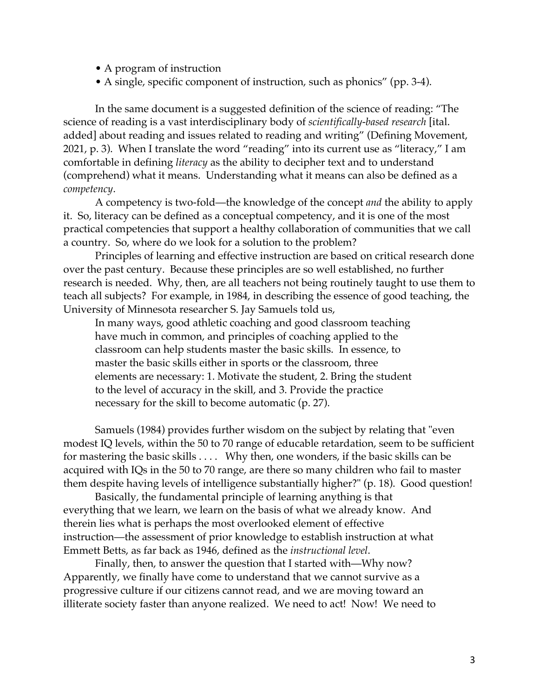- A program of instruction
- A single, specific component of instruction, such as phonics" (pp. 3-4).

In the same document is a suggested definition of the science of reading: "The science of reading is a vast interdisciplinary body of *scientifically-based research* [ital. added] about reading and issues related to reading and writing" (Defining Movement, 2021, p. 3). When I translate the word "reading" into its current use as "literacy," I am comfortable in defining *literacy* as the ability to decipher text and to understand (comprehend) what it means. Understanding what it means can also be defined as a *competency*.

A competency is two-fold—the knowledge of the concept *and* the ability to apply it. So, literacy can be defined as a conceptual competency, and it is one of the most practical competencies that support a healthy collaboration of communities that we call a country. So, where do we look for a solution to the problem?

Principles of learning and effective instruction are based on critical research done over the past century. Because these principles are so well established, no further research is needed. Why, then, are all teachers not being routinely taught to use them to teach all subjects? For example, in 1984, in describing the essence of good teaching, the University of Minnesota researcher S. Jay Samuels told us,

In many ways, good athletic coaching and good classroom teaching have much in common, and principles of coaching applied to the classroom can help students master the basic skills. In essence, to master the basic skills either in sports or the classroom, three elements are necessary: 1. Motivate the student, 2. Bring the student to the level of accuracy in the skill, and 3. Provide the practice necessary for the skill to become automatic (p. 27).

Samuels (1984) provides further wisdom on the subject by relating that "even modest IQ levels, within the 50 to 70 range of educable retardation, seem to be sufficient for mastering the basic skills . . . . Why then, one wonders, if the basic skills can be acquired with IQs in the 50 to 70 range, are there so many children who fail to master them despite having levels of intelligence substantially higher?" (p. 18). Good question!

Basically, the fundamental principle of learning anything is that everything that we learn, we learn on the basis of what we already know. And therein lies what is perhaps the most overlooked element of effective instruction—the assessment of prior knowledge to establish instruction at what Emmett Betts, as far back as 1946, defined as the *instructional level*.

Finally, then, to answer the question that I started with—Why now? Apparently, we finally have come to understand that we cannot survive as a progressive culture if our citizens cannot read, and we are moving toward an illiterate society faster than anyone realized. We need to act! Now! We need to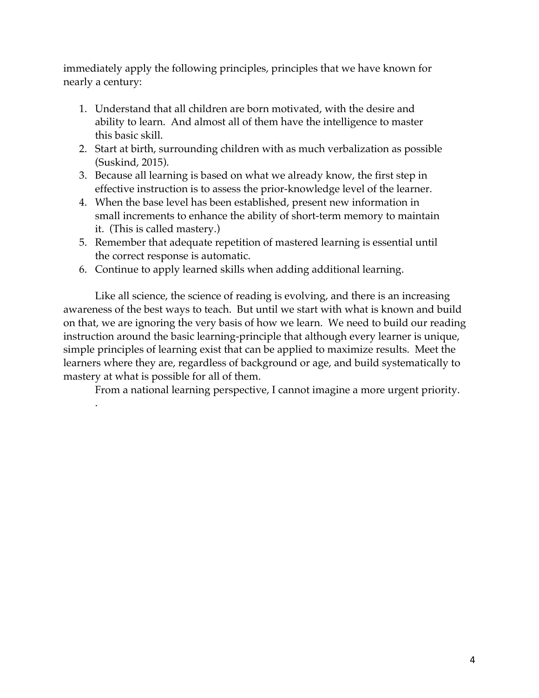immediately apply the following principles, principles that we have known for nearly a century:

- 1. Understand that all children are born motivated, with the desire and ability to learn. And almost all of them have the intelligence to master this basic skill.
- 2. Start at birth, surrounding children with as much verbalization as possible (Suskind, 2015).
- 3. Because all learning is based on what we already know, the first step in effective instruction is to assess the prior-knowledge level of the learner.
- 4. When the base level has been established, present new information in small increments to enhance the ability of short-term memory to maintain it. (This is called mastery.)
- 5. Remember that adequate repetition of mastered learning is essential until the correct response is automatic.
- 6. Continue to apply learned skills when adding additional learning.

.

Like all science, the science of reading is evolving, and there is an increasing awareness of the best ways to teach. But until we start with what is known and build on that, we are ignoring the very basis of how we learn. We need to build our reading instruction around the basic learning-principle that although every learner is unique, simple principles of learning exist that can be applied to maximize results. Meet the learners where they are, regardless of background or age, and build systematically to mastery at what is possible for all of them.

From a national learning perspective, I cannot imagine a more urgent priority.